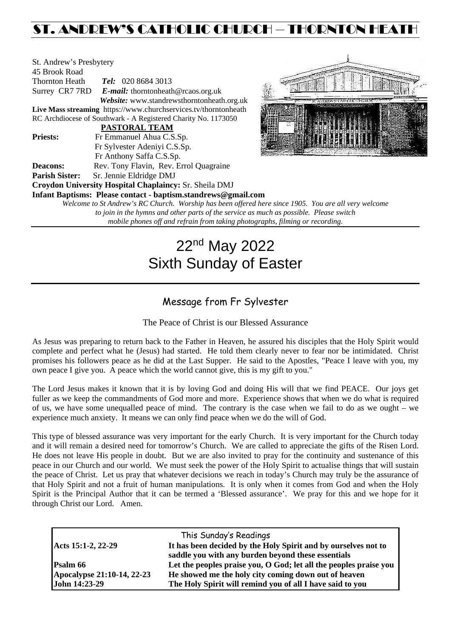## ST. ANDREW'S CATHOLIC CHURCH – THORNTON HEATH

| St. Andrew's Presbytery      |                                                                       |  |  |  |  |
|------------------------------|-----------------------------------------------------------------------|--|--|--|--|
| 45 Brook Road                |                                                                       |  |  |  |  |
| <b>Thornton Heath</b>        | <b>Tel:</b> 020 8684 3013                                             |  |  |  |  |
| Surrey CR7 7RD               | <b><i>E-mail:</i></b> thorntonheath@rcaos.org.uk                      |  |  |  |  |
|                              | Website: www.standrewsthorntonheath.org.uk                            |  |  |  |  |
|                              | Live Mass streaming https://www.churchservices.tv/thorntonheath       |  |  |  |  |
|                              | RC Archdiocese of Southwark - A Registered Charity No. 1173050        |  |  |  |  |
|                              | <b>PASTORAL TEAM</b>                                                  |  |  |  |  |
| <b>Priests:</b>              | Fr Emmanuel Ahua C.S.Sp.                                              |  |  |  |  |
| Fr Sylvester Adeniyi C.S.Sp. |                                                                       |  |  |  |  |
|                              | Fr Anthony Saffa C.S.Sp.                                              |  |  |  |  |
| Deacons:                     | Rev. Tony Flavin, Rev. Errol Quagraine                                |  |  |  |  |
| <b>Parish Sister:</b>        | Sr. Jennie Eldridge DMJ                                               |  |  |  |  |
|                              | Croydon University Hospital Chaplaincy: Sr. Sheila DMJ                |  |  |  |  |
|                              | Infant Baptisms: Please contact - baptism.standrews@gmail.com         |  |  |  |  |
|                              | Welcome to St Andrew's RC Church. Worship has been offered here since |  |  |  |  |
|                              | to join in the hymne and other parts of the service as much as no     |  |  |  |  |



*Welcome to St Andrew's RC Church. Worship has been offered here since 1905. You are all very welcome to join in the hymns and other parts of the service as much as possible. Please switch mobile phones off and refrain from taking photographs, filming or recording.*

# 22nd May 2022 Sixth Sunday of Easter

## Message from Fr Sylvester

The Peace of Christ is our Blessed Assurance

As Jesus was preparing to return back to the Father in Heaven, he assured his disciples that the Holy Spirit would complete and perfect what he (Jesus) had started. He told them clearly never to fear nor be intimidated. Christ promises his followers peace as he did at the Last Supper. He said to the Apostles, "Peace I leave with you, my own peace I give you. A peace which the world cannot give, this is my gift to you."

The Lord Jesus makes it known that it is by loving God and doing His will that we find PEACE. Our joys get fuller as we keep the commandments of God more and more. Experience shows that when we do what is required of us, we have some unequalled peace of mind. The contrary is the case when we fail to do as we ought – we experience much anxiety. It means we can only find peace when we do the will of God.

This type of blessed assurance was very important for the early Church. It is very important for the Church today and it will remain a desired need for tomorrow's Church. We are called to appreciate the gifts of the Risen Lord. He does not leave His people in doubt. But we are also invited to pray for the continuity and sustenance of this peace in our Church and our world. We must seek the power of the Holy Spirit to actualise things that will sustain the peace of Christ. Let us pray that whatever decisions we reach in today's Church may truly be the assurance of that Holy Spirit and not a fruit of human manipulations. It is only when it comes from God and when the Holy Spirit is the Principal Author that it can be termed a 'Blessed assurance'. We pray for this and we hope for it through Christ our Lord. Amen.

|                            | This Sunday's Readings                                            |  |
|----------------------------|-------------------------------------------------------------------|--|
| Acts 15:1-2, 22-29         | It has been decided by the Holy Spirit and by ourselves not to    |  |
|                            | saddle you with any burden beyond these essentials                |  |
| <b>Psalm 66</b>            | Let the peoples praise you, O God; let all the peoples praise you |  |
| Apocalypse 21:10-14, 22-23 | He showed me the holy city coming down out of heaven              |  |
| John 14:23-29              | The Holy Spirit will remind you of all I have said to you         |  |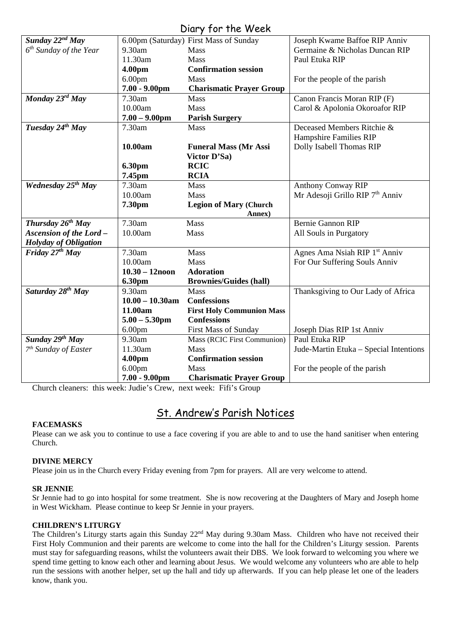### Diary for the Week

| <b>UTALY FOR THE VEEK</b>        |                    |                                        |                                             |  |  |  |
|----------------------------------|--------------------|----------------------------------------|---------------------------------------------|--|--|--|
| Sunday $22^{nd}$ May             |                    | 6.00pm (Saturday) First Mass of Sunday | Joseph Kwame Baffoe RIP Anniv               |  |  |  |
| $6th$ Sunday of the Year         | 9.30am             | Mass                                   | Germaine & Nicholas Duncan RIP              |  |  |  |
|                                  | 11.30am            | Mass                                   | Paul Etuka RIP                              |  |  |  |
|                                  | 4.00pm             | <b>Confirmation session</b>            |                                             |  |  |  |
|                                  | 6.00 <sub>pm</sub> | Mass                                   | For the people of the parish                |  |  |  |
|                                  | $7.00 - 9.00$ pm   | <b>Charismatic Prayer Group</b>        |                                             |  |  |  |
| Monday 23rd May                  | 7.30am             | <b>Mass</b>                            | Canon Francis Moran RIP (F)                 |  |  |  |
|                                  | 10.00am            | Mass                                   | Carol & Apolonia Okoroafor RIP              |  |  |  |
|                                  | $7.00 - 9.00$ pm   | <b>Parish Surgery</b>                  |                                             |  |  |  |
| Tuesday 24th May                 | 7.30am             | Mass                                   | Deceased Members Ritchie &                  |  |  |  |
|                                  |                    |                                        | Hampshire Families RIP                      |  |  |  |
|                                  | 10.00am            | <b>Funeral Mass (Mr Assi</b>           | Dolly Isabell Thomas RIP                    |  |  |  |
|                                  |                    | Victor D'Sa)                           |                                             |  |  |  |
|                                  | 6.30pm             | <b>RCIC</b>                            |                                             |  |  |  |
|                                  | 7.45pm             | <b>RCIA</b>                            |                                             |  |  |  |
| Wednesday 25 <sup>th</sup> May   | 7.30am             | <b>Mass</b>                            | <b>Anthony Conway RIP</b>                   |  |  |  |
|                                  | 10.00am            | Mass                                   | Mr Adesoji Grillo RIP 7 <sup>th</sup> Anniv |  |  |  |
|                                  | 7.30pm             | <b>Legion of Mary (Church</b>          |                                             |  |  |  |
|                                  |                    | Annex)                                 |                                             |  |  |  |
| Thursday $26^{th}$ May           | 7.30am             | Mass                                   | <b>Bernie Gannon RIP</b>                    |  |  |  |
| <b>Ascension of the Lord-</b>    | 10.00am            | Mass                                   | All Souls in Purgatory                      |  |  |  |
| Holyday of Obligation            |                    |                                        |                                             |  |  |  |
| Friday $27th$ May                | 7.30am             | Mass                                   | Agnes Ama Nsiah RIP 1st Anniv               |  |  |  |
|                                  | 10.00am            | Mass                                   | For Our Suffering Souls Anniv               |  |  |  |
|                                  | $10.30 - 12$ noon  | <b>Adoration</b>                       |                                             |  |  |  |
|                                  | <b>6.30pm</b>      | <b>Brownies/Guides (hall)</b>          |                                             |  |  |  |
| Saturday 28 <sup>th</sup> May    | 9.30am             | <b>Mass</b>                            | Thanksgiving to Our Lady of Africa          |  |  |  |
|                                  | $10.00 - 10.30$ am | <b>Confessions</b>                     |                                             |  |  |  |
|                                  | 11.00am            | <b>First Holy Communion Mass</b>       |                                             |  |  |  |
|                                  | $5.00 - 5.30$ pm   | <b>Confessions</b>                     |                                             |  |  |  |
|                                  | 6.00 <sub>pm</sub> | <b>First Mass of Sunday</b>            | Joseph Dias RIP 1st Anniv                   |  |  |  |
| Sunday 29th May                  | 9.30am             | Mass (RCIC First Communion)            | Paul Etuka RIP                              |  |  |  |
| 7 <sup>th</sup> Sunday of Easter | 11.30am            | Mass                                   | Jude-Martin Etuka - Special Intentions      |  |  |  |
|                                  | 4.00pm             | <b>Confirmation session</b>            |                                             |  |  |  |
|                                  | 6.00 <sub>pm</sub> | Mass                                   | For the people of the parish                |  |  |  |
|                                  | $7.00 - 9.00$ pm   | <b>Charismatic Prayer Group</b>        |                                             |  |  |  |

Church cleaners: this week: Judie's Crew, next week: Fifi's Group

## St. Andrew's Parish Notices

#### **FACEMASKS**

Please can we ask you to continue to use a face covering if you are able to and to use the hand sanitiser when entering Church.

#### **DIVINE MERCY**

Please join us in the Church every Friday evening from 7pm for prayers. All are very welcome to attend.

#### **SR JENNIE**

Sr Jennie had to go into hospital for some treatment. She is now recovering at the Daughters of Mary and Joseph home in West Wickham. Please continue to keep Sr Jennie in your prayers.

#### **CHILDREN'S LITURGY**

The Children's Liturgy starts again this Sunday 22<sup>nd</sup> May during 9.30am Mass. Children who have not received their First Holy Communion and their parents are welcome to come into the hall for the Children's Liturgy session. Parents must stay for safeguarding reasons, whilst the volunteers await their DBS. We look forward to welcoming you where we spend time getting to know each other and learning about Jesus. We would welcome any volunteers who are able to help run the sessions with another helper, set up the hall and tidy up afterwards. If you can help please let one of the leaders know, thank you.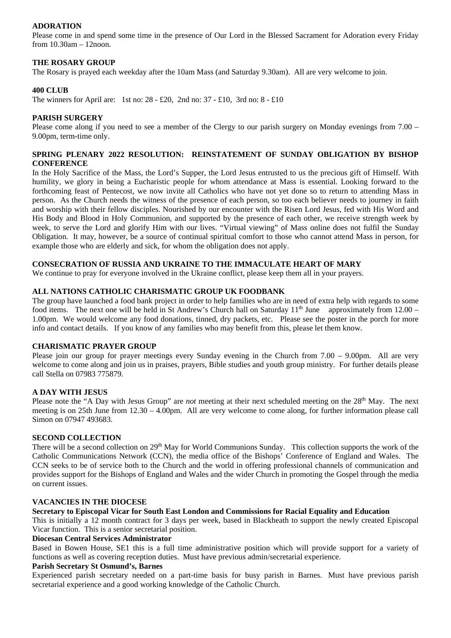#### **ADORATION**

Please come in and spend some time in the presence of Our Lord in the Blessed Sacrament for Adoration every Friday from 10.30am – 12noon.

#### **THE ROSARY GROUP**

The Rosary is prayed each weekday after the 10am Mass (and Saturday 9.30am). All are very welcome to join.

#### **400 CLUB**

The winners for April are: 1st no: 28 - £20, 2nd no: 37 - £10, 3rd no: 8 - £10

#### **PARISH SURGERY**

Please come along if you need to see a member of the Clergy to our parish surgery on Monday evenings from 7.00 – 9.00pm, term-time only.

#### **SPRING PLENARY 2022 RESOLUTION: REINSTATEMENT OF SUNDAY OBLIGATION BY BISHOP CONFERENCE**

In the Holy Sacrifice of the Mass, the Lord's Supper, the Lord Jesus entrusted to us the precious gift of Himself. With humility, we glory in being a Eucharistic people for whom attendance at Mass is essential. Looking forward to the forthcoming feast of Pentecost, we now invite all Catholics who have not yet done so to return to attending Mass in person. As the Church needs the witness of the presence of each person, so too each believer needs to journey in faith and worship with their fellow disciples. Nourished by our encounter with the Risen Lord Jesus, fed with His Word and His Body and Blood in Holy Communion, and supported by the presence of each other, we receive strength week by week, to serve the Lord and glorify Him with our lives. "Virtual viewing" of Mass online does not fulfil the Sunday Obligation. It may, however, be a source of continual spiritual comfort to those who cannot attend Mass in person, for example those who are elderly and sick, for whom the obligation does not apply.

#### **CONSECRATION OF RUSSIA AND UKRAINE TO THE IMMACULATE HEART OF MARY**

We continue to pray for everyone involved in the Ukraine conflict, please keep them all in your prayers.

#### **ALL NATIONS CATHOLIC CHARISMATIC GROUP UK FOODBANK**

The group have launched a food bank project in order to help families who are in need of extra help with regards to some food items. The next one will be held in St Andrew's Church hall on Saturday  $11<sup>th</sup>$  June approximately from  $12.00 -$ 1.00pm. We would welcome any food donations, tinned, dry packets, etc. Please see the poster in the porch for more info and contact details. If you know of any families who may benefit from this, please let them know.

#### **CHARISMATIC PRAYER GROUP**

Please join our group for prayer meetings every Sunday evening in the Church from 7.00 – 9.00pm. All are very welcome to come along and join us in praises, prayers, Bible studies and youth group ministry. For further details please call Stella on 07983 775879.

#### **A DAY WITH JESUS**

Please note the "A Day with Jesus Group" are *not* meeting at their next scheduled meeting on the 28<sup>th</sup> May. The next meeting is on 25th June from 12.30 – 4.00pm. All are very welcome to come along, for further information please call Simon on 07947 493683.

#### **SECOND COLLECTION**

There will be a second collection on 29<sup>th</sup> May for World Communions Sunday. This collection supports the work of the Catholic Communications Network (CCN), the media office of the Bishops' Conference of England and Wales. The CCN seeks to be of service both to the Church and the world in offering professional channels of communication and provides support for the Bishops of England and Wales and the wider Church in promoting the Gospel through the media on current issues.

#### **VACANCIES IN THE DIOCESE**

#### **Secretary to Episcopal Vicar for South East London and Commissions for Racial Equality and Education**

This is initially a 12 month contract for 3 days per week, based in Blackheath to support the newly created Episcopal Vicar function. This is a senior secretarial position.

#### **Diocesan Central Services Administrator**

Based in Bowen House, SE1 this is a full time administrative position which will provide support for a variety of functions as well as covering reception duties. Must have previous admin/secretarial experience.

#### **Parish Secretary St Osmund's, Barnes**

Experienced parish secretary needed on a part-time basis for busy parish in Barnes. Must have previous parish secretarial experience and a good working knowledge of the Catholic Church.